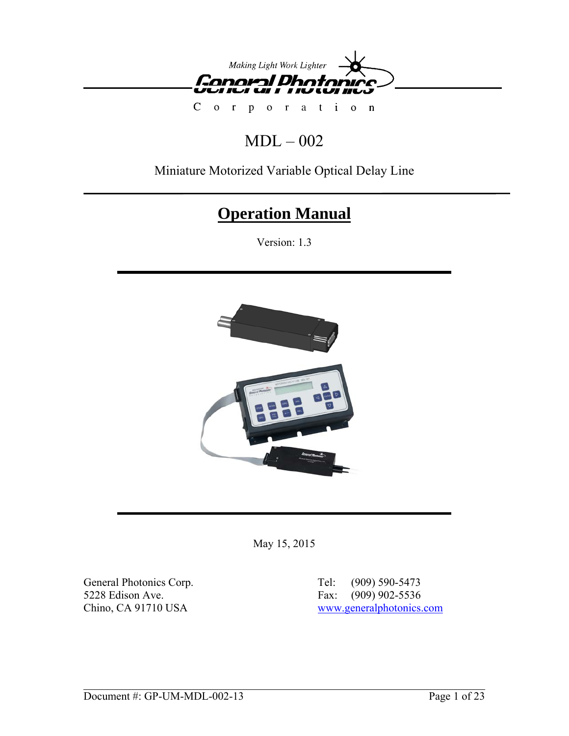

 $C \quad o$  $\mathbf{r}$ or at ion  $\mathbf{p}$ 

# $MDL - 002$

## Miniature Motorized Variable Optical Delay Line

# **Operation Manual**

Version: 1.3



May 15, 2015

General Photonics Corp.<br>
5228 Edison Ave.<br>
5228 Edison Ave.<br>
6228 Edison Ave.<br>
6228 Edison Ave.<br>
6228 Edison Ave.<br>
6228 Edison Ave.<br>
6228 Edison Ave. 5228 Edison Ave.<br>
Chino, CA 91710 USA WWW.

[www.generalphotonics.com](http://www.generalphotonics.com/)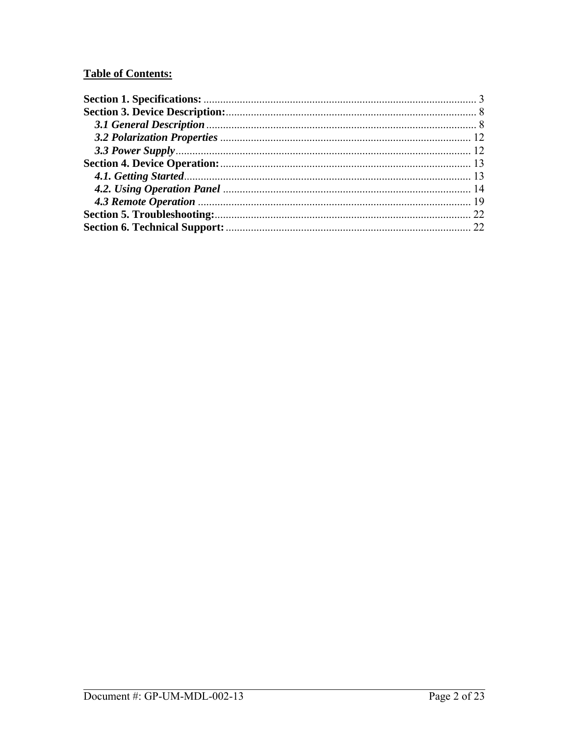## **Table of Contents:**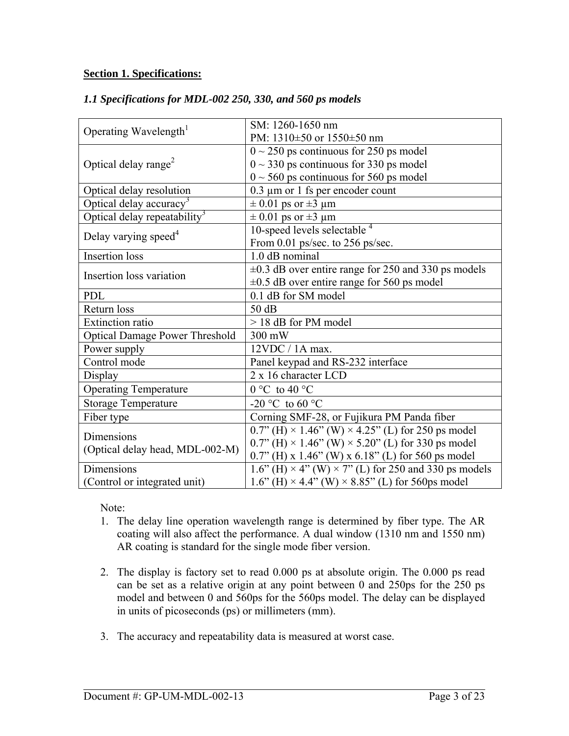#### <span id="page-2-0"></span>**Section 1. Specifications:**

|                                          | SM: 1260-1650 nm                                                   |
|------------------------------------------|--------------------------------------------------------------------|
| Operating Wavelength <sup>1</sup>        | PM: 1310±50 or 1550±50 nm                                          |
|                                          | $\sqrt{0}$ ~ 250 ps continuous for 250 ps model                    |
| Optical delay range <sup>2</sup>         | $0 \sim 330$ ps continuous for 330 ps model                        |
|                                          | $0 \sim 560$ ps continuous for 560 ps model                        |
| Optical delay resolution                 | $0.3 \mu m$ or 1 fs per encoder count                              |
| Optical delay accuracy <sup>3</sup>      | $\pm$ 0.01 ps or $\pm$ 3 µm                                        |
| Optical delay repeatability <sup>3</sup> | $\pm$ 0.01 ps or $\pm$ 3 µm                                        |
| Delay varying speed <sup>4</sup>         | 10-speed levels selectable $4$                                     |
|                                          | From 0.01 ps/sec. to 256 ps/sec.                                   |
| <b>Insertion</b> loss                    | 1.0 dB nominal                                                     |
| Insertion loss variation                 | $\pm 0.3$ dB over entire range for 250 and 330 ps models           |
|                                          | $\pm 0.5$ dB over entire range for 560 ps model                    |
| <b>PDL</b>                               | 0.1 dB for SM model                                                |
| Return loss                              | 50 dB                                                              |
| <b>Extinction</b> ratio                  | > 18 dB for PM model                                               |
| <b>Optical Damage Power Threshold</b>    | 300 mW                                                             |
| Power supply                             | $12VDC / 1A max$ .                                                 |
| Control mode                             | Panel keypad and RS-232 interface                                  |
| Display                                  | 2 x 16 character LCD                                               |
| <b>Operating Temperature</b>             | $0 °C$ to $40 °C$                                                  |
| <b>Storage Temperature</b>               | -20 °C to 60 °C                                                    |
| Fiber type                               | Corning SMF-28, or Fujikura PM Panda fiber                         |
| Dimensions                               | $0.7$ " (H) × 1.46" (W) × 4.25" (L) for 250 ps model               |
| (Optical delay head, MDL-002-M)          | $0.7$ " (H) × 1.46" (W) × 5.20" (L) for 330 ps model               |
|                                          | $0.7$ " (H) x 1.46" (W) x 6.18" (L) for 560 ps model               |
| Dimensions                               | 1.6" (H) $\times$ 4" (W) $\times$ 7" (L) for 250 and 330 ps models |

#### *1.1 Specifications for MDL-002 250, 330, and 560 ps models*

Note:

(Control or integrated unit)

1. The delay line operation wavelength range is determined by fiber type. The AR coating will also affect the performance. A dual window (1310 nm and 1550 nm) AR coating is standard for the single mode fiber version.

 $1.6$ " (H)  $\times$  4.4" (W)  $\times$  8.85" (L) for 560ps model

- 2. The display is factory set to read 0.000 ps at absolute origin. The 0.000 ps read can be set as a relative origin at any point between 0 and 250ps for the 250 ps model and between 0 and 560ps for the 560ps model. The delay can be displayed in units of picoseconds (ps) or millimeters (mm).
- 3. The accuracy and repeatability data is measured at worst case.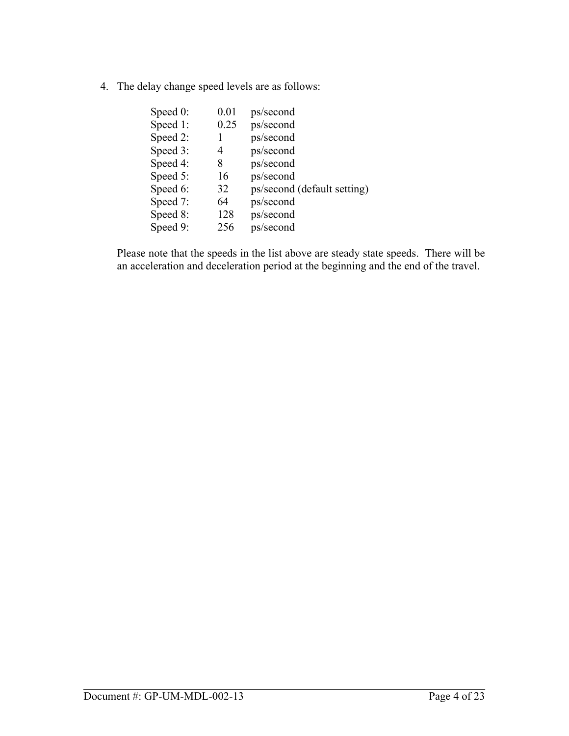4. The delay change speed levels are as follows:

| Speed $0$ : | 0.01 | ps/second                   |
|-------------|------|-----------------------------|
| Speed 1:    | 0.25 | ps/second                   |
| Speed 2:    |      | ps/second                   |
| Speed 3:    | 4    | ps/second                   |
| Speed 4:    | 8    | ps/second                   |
| Speed 5:    | 16   | ps/second                   |
| Speed 6:    | 32   | ps/second (default setting) |
| Speed 7:    | 64   | ps/second                   |
| Speed 8:    | 128  | ps/second                   |
| Speed 9:    | 256  | ps/second                   |
|             |      |                             |

Please note that the speeds in the list above are steady state speeds. There will be an acceleration and deceleration period at the beginning and the end of the travel.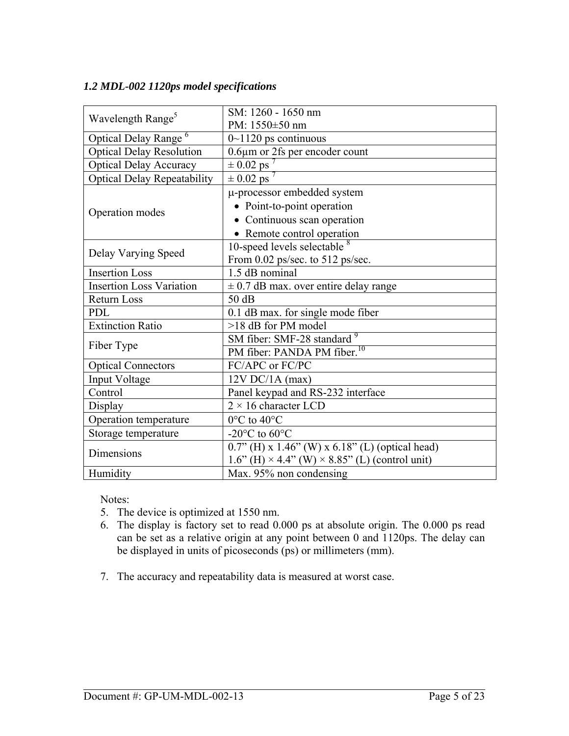#### *1.2 MDL-002 1120ps model specifications*

| Wavelength Range <sup>5</sup>      | SM: 1260 - 1650 nm                                 |
|------------------------------------|----------------------------------------------------|
|                                    | PM: 1550±50 nm                                     |
| Optical Delay Range <sup>6</sup>   | $0$ ~1120 ps continuous                            |
| <b>Optical Delay Resolution</b>    | 0.6µm or 2fs per encoder count                     |
| <b>Optical Delay Accuracy</b>      | $\pm 0.02$ ps                                      |
| <b>Optical Delay Repeatability</b> | $\pm 0.02$ ps                                      |
|                                    | µ-processor embedded system                        |
|                                    | • Point-to-point operation                         |
| Operation modes                    | • Continuous scan operation                        |
|                                    | • Remote control operation                         |
|                                    | 10-speed levels selectable <sup>8</sup>            |
| Delay Varying Speed                | From 0.02 ps/sec. to 512 ps/sec.                   |
| <b>Insertion Loss</b>              | 1.5 dB nominal                                     |
| <b>Insertion Loss Variation</b>    | $\pm$ 0.7 dB max. over entire delay range          |
| <b>Return Loss</b>                 | 50dB                                               |
| <b>PDL</b>                         | 0.1 dB max. for single mode fiber                  |
| Extinction Ratio                   | >18 dB for PM model                                |
|                                    | SM fiber: SMF-28 standard <sup>9</sup>             |
| Fiber Type                         | PM fiber: PANDA PM fiber. <sup>10</sup>            |
| <b>Optical Connectors</b>          | FC/APC or FC/PC                                    |
| Input Voltage                      | $12V$ DC/1A (max)                                  |
| Control                            | Panel keypad and RS-232 interface                  |
| Display                            | $2 \times 16$ character LCD                        |
| Operation temperature              | $0^{\circ}$ C to 40 $^{\circ}$ C                   |
| Storage temperature                | -20 $\rm{^{\circ}C}$ to 60 $\rm{^{\circ}C}$        |
| Dimensions                         | $0.7$ " (H) x 1.46" (W) x 6.18" (L) (optical head) |
|                                    | $1.6$ " (H) × 4.4" (W) × 8.85" (L) (control unit)  |
| Humidity                           | Max. 95% non condensing                            |

Notes:

- 5. The device is optimized at 1550 nm.
- 6. The display is factory set to read 0.000 ps at absolute origin. The 0.000 ps read can be set as a relative origin at any point between 0 and 1120ps. The delay can be displayed in units of picoseconds (ps) or millimeters (mm).
- 7. The accuracy and repeatability data is measured at worst case.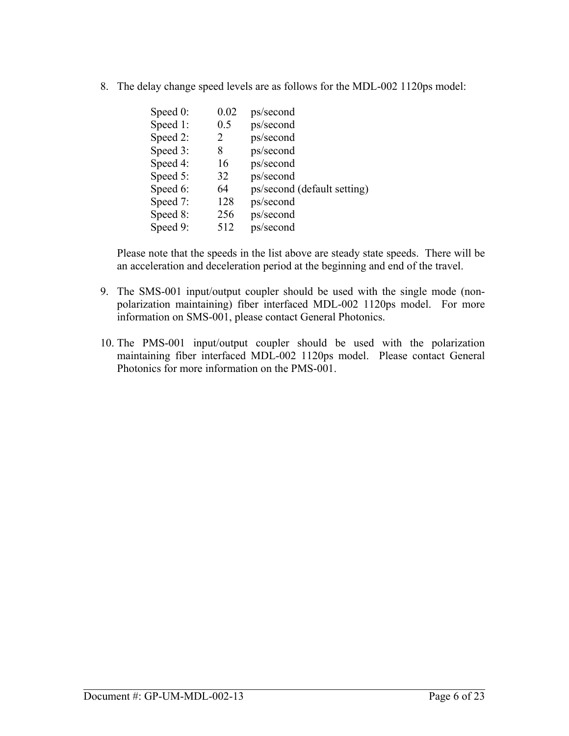8. The delay change speed levels are as follows for the MDL-002 1120ps model:

| Speed $0$ : | 0.02 | ps/second                   |
|-------------|------|-----------------------------|
| Speed 1:    | 0.5  | ps/second                   |
| Speed 2:    | 2    | ps/second                   |
| Speed 3:    | 8    | ps/second                   |
| Speed 4:    | 16   | ps/second                   |
| Speed 5:    | 32   | ps/second                   |
| Speed 6:    | 64   | ps/second (default setting) |
| Speed 7:    | 128  | ps/second                   |
| Speed 8:    | 256  | ps/second                   |
| Speed 9:    | 512  | ps/second                   |
|             |      |                             |

Please note that the speeds in the list above are steady state speeds. There will be an acceleration and deceleration period at the beginning and end of the travel.

- 9. The SMS-001 input/output coupler should be used with the single mode (nonpolarization maintaining) fiber interfaced MDL-002 1120ps model. For more information on SMS-001, please contact General Photonics.
- 10. The PMS-001 input/output coupler should be used with the polarization maintaining fiber interfaced MDL-002 1120ps model. Please contact General Photonics for more information on the PMS-001.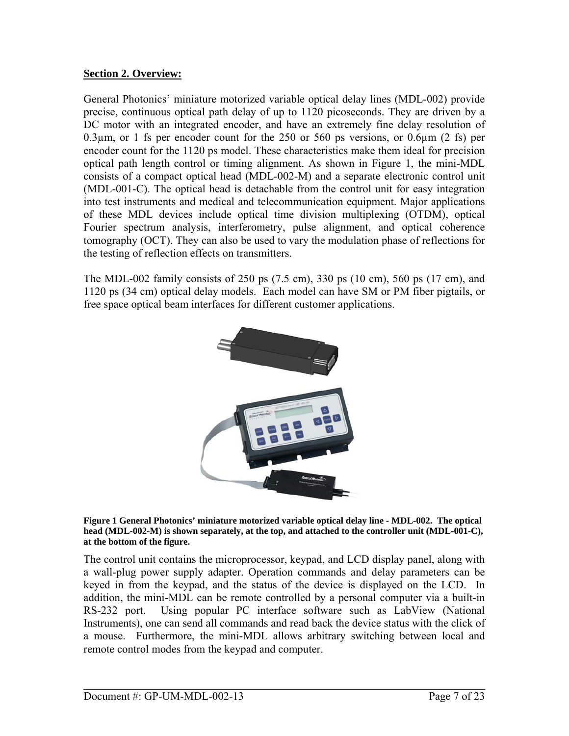## **Section 2. Overview:**

General Photonics' miniature motorized variable optical delay lines (MDL-002) provide precise, continuous optical path delay of up to 1120 picoseconds. They are driven by a DC motor with an integrated encoder, and have an extremely fine delay resolution of 0.3 $\mu$ m, or 1 fs per encoder count for the 250 or 560 ps versions, or 0.6 $\mu$ m (2 fs) per encoder count for the 1120 ps model. These characteristics make them ideal for precision optical path length control or timing alignment. As shown in Figure 1, the mini-MDL consists of a compact optical head (MDL-002-M) and a separate electronic control unit (MDL-001-C). The optical head is detachable from the control unit for easy integration into test instruments and medical and telecommunication equipment. Major applications of these MDL devices include optical time division multiplexing (OTDM), optical Fourier spectrum analysis, interferometry, pulse alignment, and optical coherence tomography (OCT). They can also be used to vary the modulation phase of reflections for the testing of reflection effects on transmitters.

The MDL-002 family consists of 250 ps (7.5 cm), 330 ps (10 cm), 560 ps (17 cm), and 1120 ps (34 cm) optical delay models. Each model can have SM or PM fiber pigtails, or free space optical beam interfaces for different customer applications.



**Figure 1 General Photonics' miniature motorized variable optical delay line - MDL-002. The optical head (MDL-002-M) is shown separately, at the top, and attached to the controller unit (MDL-001-C), at the bottom of the figure.** 

The control unit contains the microprocessor, keypad, and LCD display panel, along with a wall-plug power supply adapter. Operation commands and delay parameters can be keyed in from the keypad, and the status of the device is displayed on the LCD. In addition, the mini-MDL can be remote controlled by a personal computer via a built-in RS-232 port. Using popular PC interface software such as LabView (National Instruments), one can send all commands and read back the device status with the click of a mouse. Furthermore, the mini-MDL allows arbitrary switching between local and remote control modes from the keypad and computer.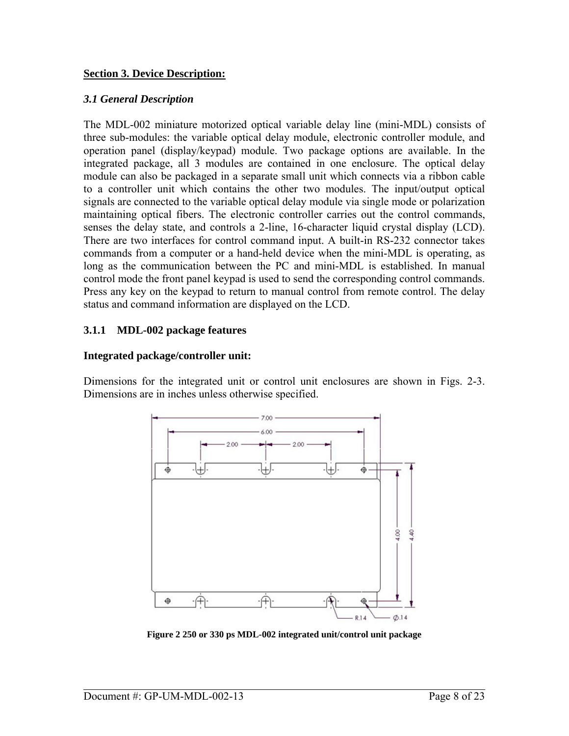#### <span id="page-7-0"></span>**Section 3. Device Description:**

#### *3.1 General Description*

The MDL-002 miniature motorized optical variable delay line (mini-MDL) consists of three sub-modules: the variable optical delay module, electronic controller module, and operation panel (display/keypad) module. Two package options are available. In the integrated package, all 3 modules are contained in one enclosure. The optical delay module can also be packaged in a separate small unit which connects via a ribbon cable to a controller unit which contains the other two modules. The input/output optical signals are connected to the variable optical delay module via single mode or polarization maintaining optical fibers. The electronic controller carries out the control commands, senses the delay state, and controls a 2-line, 16-character liquid crystal display (LCD). There are two interfaces for control command input. A built-in RS-232 connector takes commands from a computer or a hand-held device when the mini-MDL is operating, as long as the communication between the PC and mini-MDL is established. In manual control mode the front panel keypad is used to send the corresponding control commands. Press any key on the keypad to return to manual control from remote control. The delay status and command information are displayed on the LCD.

## **3.1.1 MDL-002 package features**

## **Integrated package/controller unit:**

Dimensions for the integrated unit or control unit enclosures are shown in Figs. 2-3. Dimensions are in inches unless otherwise specified.



**Figure 2 250 or 330 ps MDL-002 integrated unit/control unit package**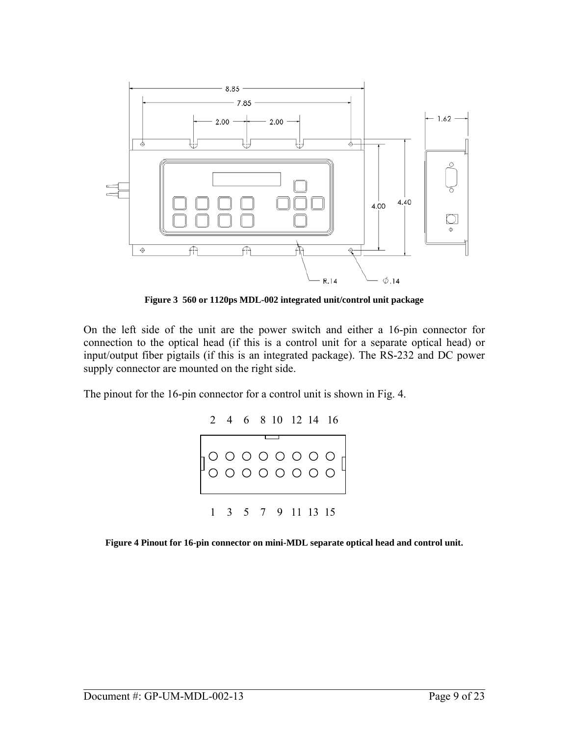

**Figure 3 560 or 1120ps MDL-002 integrated unit/control unit package** 

On the left side of the unit are the power switch and either a 16-pin connector for connection to the optical head (if this is a control unit for a separate optical head) or input/output fiber pigtails (if this is an integrated package). The RS-232 and DC power supply connector are mounted on the right side.

The pinout for the 16-pin connector for a control unit is shown in Fig. 4.



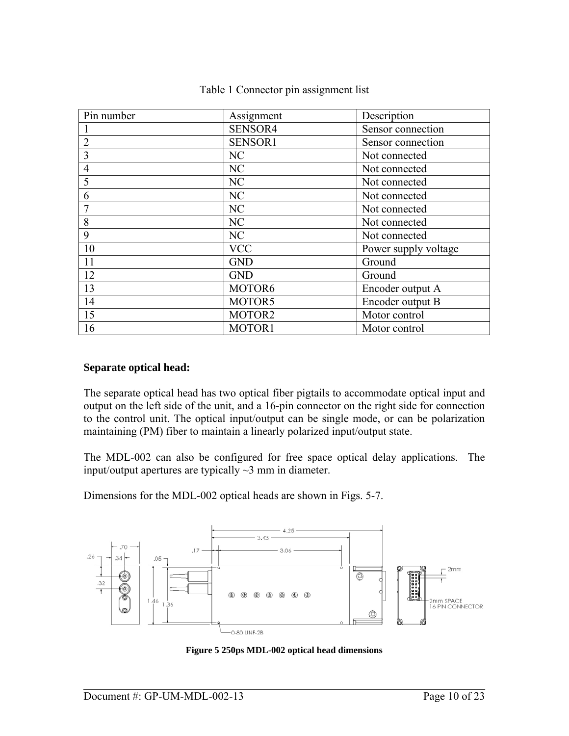| Pin number     | Assignment | Description          |
|----------------|------------|----------------------|
|                | SENSOR4    | Sensor connection    |
| $\overline{2}$ | SENSOR1    | Sensor connection    |
| 3              | NC         | Not connected        |
| $\overline{4}$ | NC         | Not connected        |
| 5              | NC         | Not connected        |
| 6              | NC         | Not connected        |
|                | NC         | Not connected        |
| 8              | NC         | Not connected        |
| 9              | NC         | Not connected        |
| 10             | <b>VCC</b> | Power supply voltage |
| 11             | <b>GND</b> | Ground               |
| 12             | <b>GND</b> | Ground               |
| 13             | MOTOR6     | Encoder output A     |
| 14             | MOTOR5     | Encoder output B     |
| 15             | MOTOR2     | Motor control        |
| 16             | MOTOR1     | Motor control        |

#### Table 1 Connector pin assignment list

#### **Separate optical head:**

The separate optical head has two optical fiber pigtails to accommodate optical input and output on the left side of the unit, and a 16-pin connector on the right side for connection to the control unit. The optical input/output can be single mode, or can be polarization maintaining (PM) fiber to maintain a linearly polarized input/output state.

The MDL-002 can also be configured for free space optical delay applications. The input/output apertures are typically  $\sim$ 3 mm in diameter.

Dimensions for the MDL-002 optical heads are shown in Figs. 5-7.



**Figure 5 250ps MDL-002 optical head dimensions**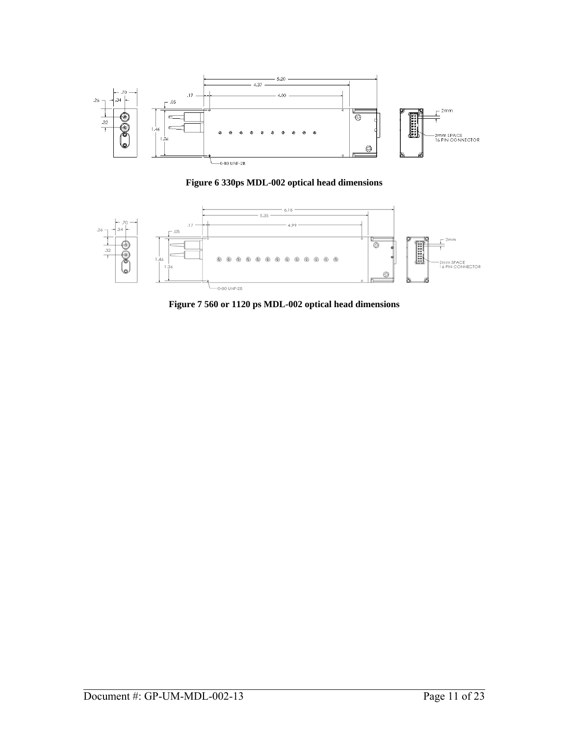

**Figure 6 330ps MDL-002 optical head dimensions** 



**Figure 7 560 or 1120 ps MDL-002 optical head dimensions**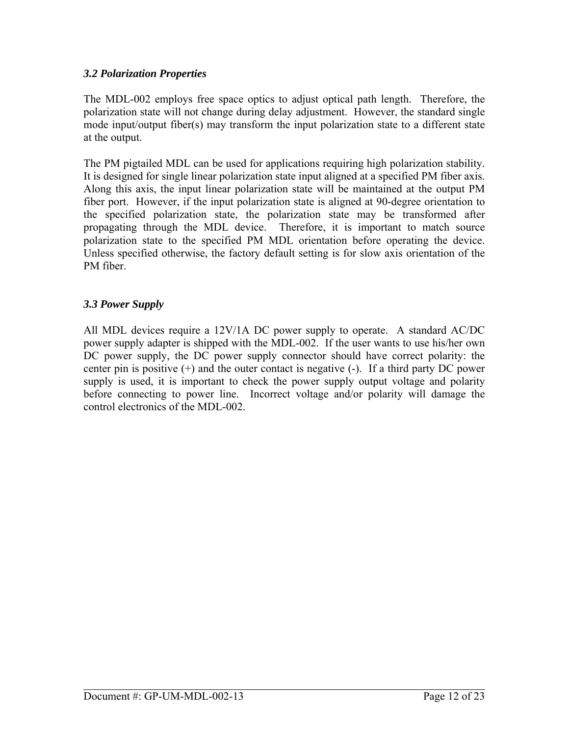## <span id="page-11-0"></span>*3.2 Polarization Properties*

The MDL-002 employs free space optics to adjust optical path length. Therefore, the polarization state will not change during delay adjustment. However, the standard single mode input/output fiber(s) may transform the input polarization state to a different state at the output.

The PM pigtailed MDL can be used for applications requiring high polarization stability. It is designed for single linear polarization state input aligned at a specified PM fiber axis. Along this axis, the input linear polarization state will be maintained at the output PM fiber port. However, if the input polarization state is aligned at 90-degree orientation to the specified polarization state, the polarization state may be transformed after propagating through the MDL device. Therefore, it is important to match source polarization state to the specified PM MDL orientation before operating the device. Unless specified otherwise, the factory default setting is for slow axis orientation of the PM fiber.

## *3.3 Power Supply*

All MDL devices require a 12V/1A DC power supply to operate. A standard AC/DC power supply adapter is shipped with the MDL-002. If the user wants to use his/her own DC power supply, the DC power supply connector should have correct polarity: the center pin is positive (+) and the outer contact is negative (-). If a third party DC power supply is used, it is important to check the power supply output voltage and polarity before connecting to power line. Incorrect voltage and/or polarity will damage the control electronics of the MDL-002.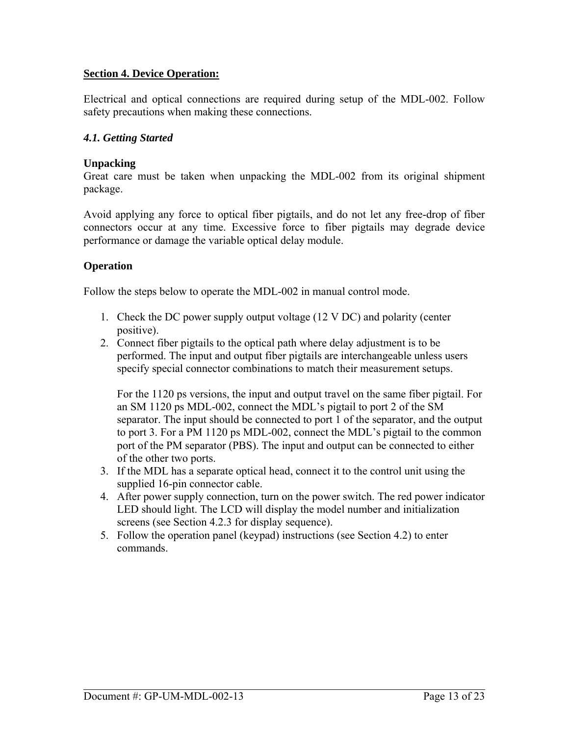## <span id="page-12-0"></span>**Section 4. Device Operation:**

Electrical and optical connections are required during setup of the MDL-002. Follow safety precautions when making these connections.

#### *4.1. Getting Started*

#### **Unpacking**

Great care must be taken when unpacking the MDL-002 from its original shipment package.

Avoid applying any force to optical fiber pigtails, and do not let any free-drop of fiber connectors occur at any time. Excessive force to fiber pigtails may degrade device performance or damage the variable optical delay module.

## **Operation**

Follow the steps below to operate the MDL-002 in manual control mode.

- 1. Check the DC power supply output voltage (12 V DC) and polarity (center positive).
- 2. Connect fiber pigtails to the optical path where delay adjustment is to be performed. The input and output fiber pigtails are interchangeable unless users specify special connector combinations to match their measurement setups.

For the 1120 ps versions, the input and output travel on the same fiber pigtail. For an SM 1120 ps MDL-002, connect the MDL's pigtail to port 2 of the SM separator. The input should be connected to port 1 of the separator, and the output to port 3. For a PM 1120 ps MDL-002, connect the MDL's pigtail to the common port of the PM separator (PBS). The input and output can be connected to either of the other two ports.

- 3. If the MDL has a separate optical head, connect it to the control unit using the supplied 16-pin connector cable.
- 4. After power supply connection, turn on the power switch. The red power indicator LED should light. The LCD will display the model number and initialization screens (see Section 4.2.3 for display sequence).
- 5. Follow the operation panel (keypad) instructions (see Section 4.2) to enter commands.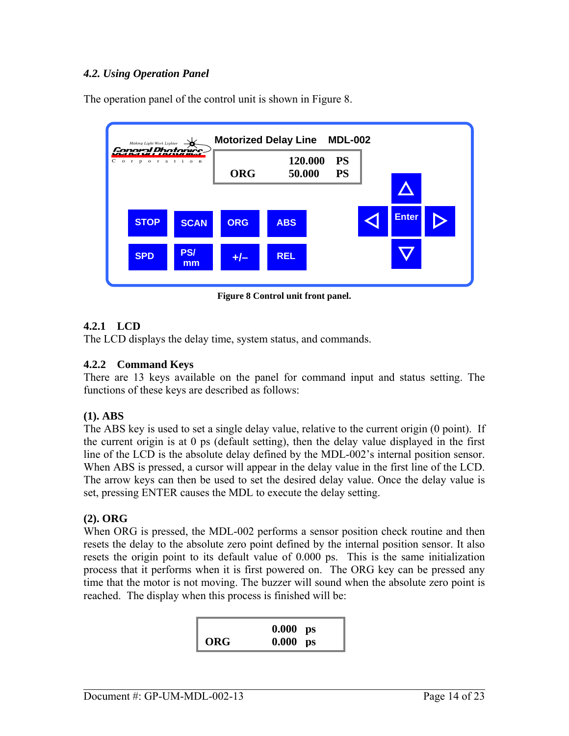## <span id="page-13-0"></span>*4.2. Using Operation Panel*

The operation panel of the control unit is shown in Figure 8.



**Figure 8 Control unit front panel.** 

## **4.2.1 LCD**

The LCD displays the delay time, system status, and commands.

## **4.2.2 Command Keys**

There are 13 keys available on the panel for command input and status setting. The functions of these keys are described as follows:

#### **(1). ABS**

The ABS key is used to set a single delay value, relative to the current origin (0 point). If the current origin is at 0 ps (default setting), then the delay value displayed in the first line of the LCD is the absolute delay defined by the MDL-002's internal position sensor. When ABS is pressed, a cursor will appear in the delay value in the first line of the LCD. The arrow keys can then be used to set the desired delay value. Once the delay value is set, pressing ENTER causes the MDL to execute the delay setting.

## **(2). ORG**

When ORG is pressed, the MDL-002 performs a sensor position check routine and then resets the delay to the absolute zero point defined by the internal position sensor. It also resets the origin point to its default value of 0.000 ps. This is the same initialization process that it performs when it is first powered on. The ORG key can be pressed any time that the motor is not moving. The buzzer will sound when the absolute zero point is reached. The display when this process is finished will be:

|     | $0.000$ ps |  |
|-----|------------|--|
| ORG | $0.000$ ps |  |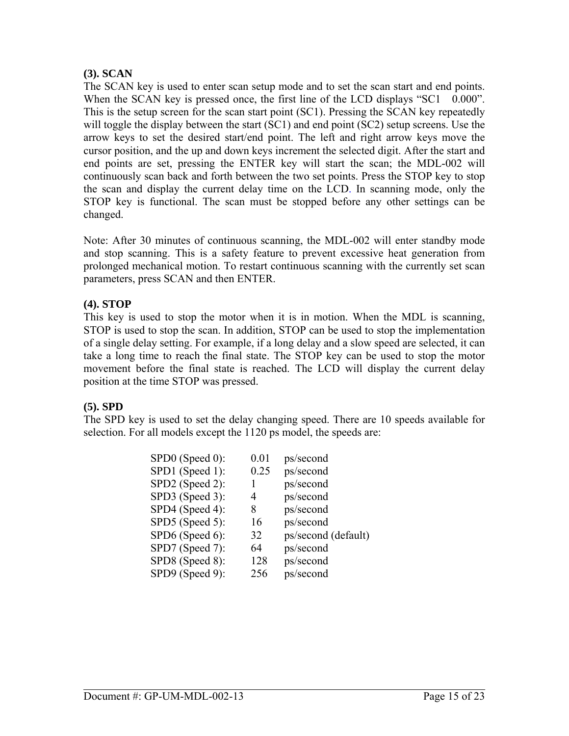#### **(3). SCAN**

The SCAN key is used to enter scan setup mode and to set the scan start and end points. When the SCAN key is pressed once, the first line of the LCD displays "SC1 0.000". This is the setup screen for the scan start point (SC1). Pressing the SCAN key repeatedly will toggle the display between the start (SC1) and end point (SC2) setup screens. Use the arrow keys to set the desired start/end point. The left and right arrow keys move the cursor position, and the up and down keys increment the selected digit. After the start and end points are set, pressing the ENTER key will start the scan; the MDL-002 will continuously scan back and forth between the two set points. Press the STOP key to stop the scan and display the current delay time on the LCD. In scanning mode, only the STOP key is functional. The scan must be stopped before any other settings can be changed.

Note: After 30 minutes of continuous scanning, the MDL-002 will enter standby mode and stop scanning. This is a safety feature to prevent excessive heat generation from prolonged mechanical motion. To restart continuous scanning with the currently set scan parameters, press SCAN and then ENTER.

## **(4). STOP**

This key is used to stop the motor when it is in motion. When the MDL is scanning, STOP is used to stop the scan. In addition, STOP can be used to stop the implementation of a single delay setting. For example, if a long delay and a slow speed are selected, it can take a long time to reach the final state. The STOP key can be used to stop the motor movement before the final state is reached. The LCD will display the current delay position at the time STOP was pressed.

#### **(5). SPD**

The SPD key is used to set the delay changing speed. There are 10 speeds available for selection. For all models except the 1120 ps model, the speeds are:

| SPD0 (Speed 0): | 0.01 | ps/second           |
|-----------------|------|---------------------|
| SPD1 (Speed 1): | 0.25 | ps/second           |
| SPD2 (Speed 2): |      | ps/second           |
| SPD3 (Speed 3): | 4    | ps/second           |
| SPD4 (Speed 4): | 8    | ps/second           |
| SPD5 (Speed 5): | 16   | ps/second           |
| SPD6 (Speed 6): | 32   | ps/second (default) |
| SPD7 (Speed 7): | 64   | ps/second           |
| SPD8 (Speed 8): | 128  | ps/second           |
| SPD9 (Speed 9): | 256  | ps/second           |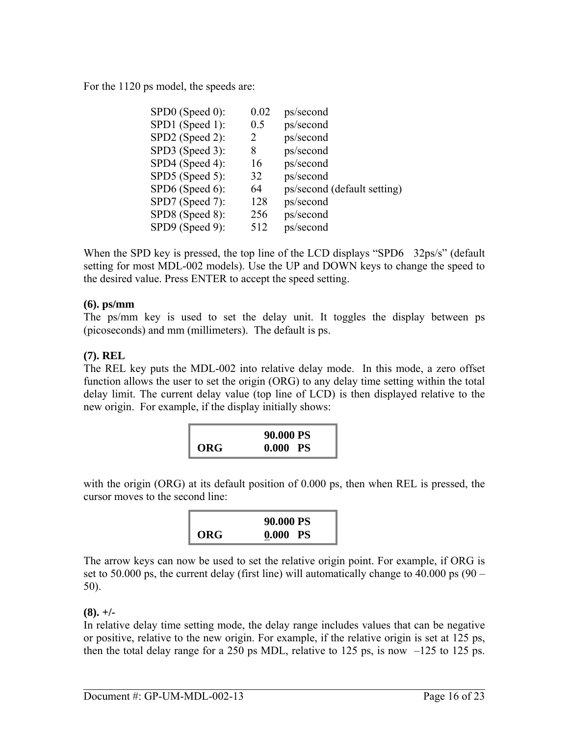For the 1120 ps model, the speeds are:

| 0.02 | ps/second                   |
|------|-----------------------------|
| 0.5  | ps/second                   |
| 2    | ps/second                   |
| 8    | ps/second                   |
| 16   | ps/second                   |
| 32   | ps/second                   |
| 64   | ps/second (default setting) |
| 128  | ps/second                   |
| 256  | ps/second                   |
| 512  | ps/second                   |
|      |                             |

When the SPD key is pressed, the top line of the LCD displays "SPD6 32ps/s" (default setting for most MDL-002 models). Use the UP and DOWN keys to change the speed to the desired value. Press ENTER to accept the speed setting.

## **(6). ps/mm**

The ps/mm key is used to set the delay unit. It toggles the display between ps (picoseconds) and mm (millimeters). The default is ps.

## **(7). REL**

The REL key puts the MDL-002 into relative delay mode. In this mode, a zero offset function allows the user to set the origin (ORG) to any delay time setting within the total delay limit. The current delay value (top line of LCD) is then displayed relative to the new origin. For example, if the display initially shows:

|     | 90.000 PS  |
|-----|------------|
| ORG | $0.000$ PS |

with the origin (ORG) at its default position of 0.000 ps, then when REL is pressed, the cursor moves to the second line:

|     | 90.000 PS |
|-----|-----------|
| ORG | 0.000 PS  |

The arrow keys can now be used to set the relative origin point. For example, if ORG is set to 50.000 ps, the current delay (first line) will automatically change to 40.000 ps  $(90 -$ 50).

## $(8)$ . +/-

In relative delay time setting mode, the delay range includes values that can be negative or positive, relative to the new origin. For example, if the relative origin is set at 125 ps, then the total delay range for a 250 ps MDL, relative to 125 ps, is now  $-125$  to 125 ps.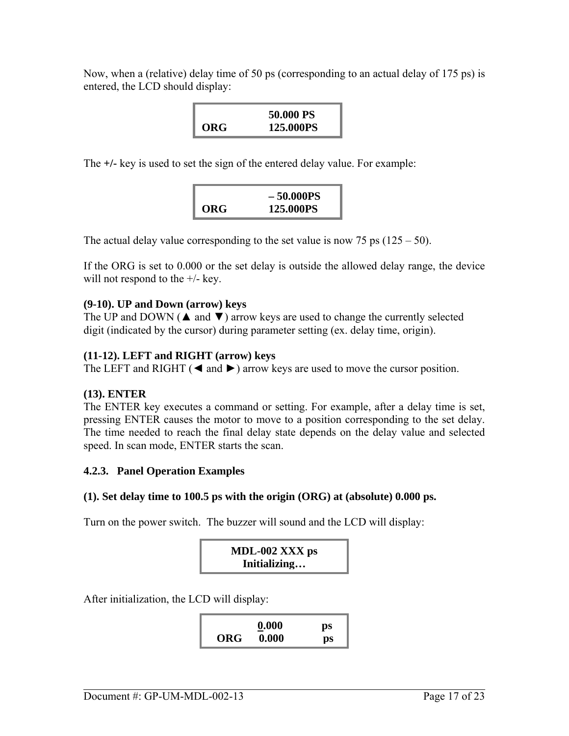Now, when a (relative) delay time of 50 ps (corresponding to an actual delay of 175 ps) is entered, the LCD should display:

|     | 50.000 PS |
|-----|-----------|
| ORG | 125.000PS |

The **+/-** key is used to set the sign of the entered delay value. For example:

|     | $-50.000PS$ |
|-----|-------------|
| ORG | 125.000PS   |

The actual delay value corresponding to the set value is now 75 ps  $(125 - 50)$ .

If the ORG is set to 0.000 or the set delay is outside the allowed delay range, the device will not respond to the  $+/-$  key.

#### **(9-10). UP and Down (arrow) keys**

The UP and DOWN ( $\triangle$  and  $\nabla$ ) arrow keys are used to change the currently selected digit (indicated by the cursor) during parameter setting (ex. delay time, origin).

#### **(11-12). LEFT and RIGHT (arrow) keys**

The LEFT and RIGHT ( $\triangleleft$  and  $\triangleright$ ) arrow keys are used to move the cursor position.

#### **(13). ENTER**

The ENTER key executes a command or setting. For example, after a delay time is set, pressing ENTER causes the motor to move to a position corresponding to the set delay. The time needed to reach the final delay state depends on the delay value and selected speed. In scan mode, ENTER starts the scan.

#### **4.2.3. Panel Operation Examples**

#### **(1). Set delay time to 100.5 ps with the origin (ORG) at (absolute) 0.000 ps.**

Turn on the power switch. The buzzer will sound and the LCD will display:



After initialization, the LCD will display:

|            | 0.000<br>_ | ps |
|------------|------------|----|
| <b>ORG</b> | 0.000      | ps |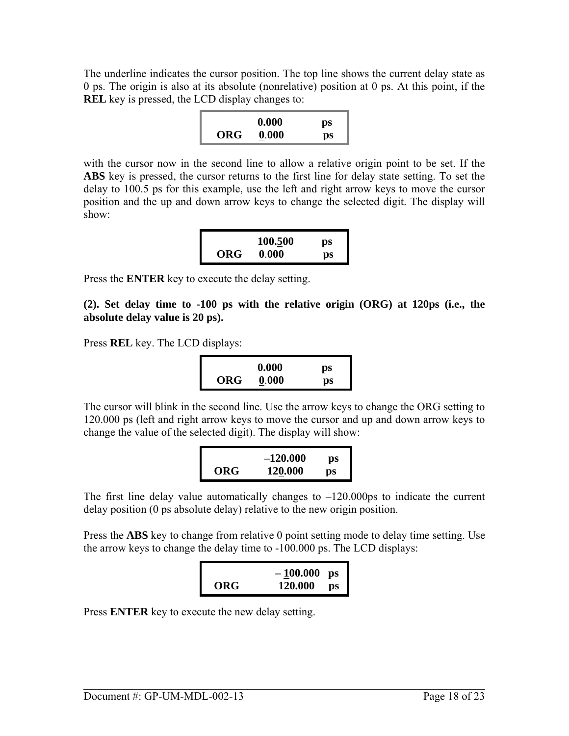The underline indicates the cursor position. The top line shows the current delay state as 0 ps. The origin is also at its absolute (nonrelative) position at 0 ps. At this point, if the **REL** key is pressed, the LCD display changes to:

|     | 0.000 | ps |
|-----|-------|----|
| ORG | 0.000 | ps |

with the cursor now in the second line to allow a relative origin point to be set. If the **ABS** key is pressed, the cursor returns to the first line for delay state setting. To set the delay to 100.5 ps for this example, use the left and right arrow keys to move the cursor position and the up and down arrow keys to change the selected digit. The display will show:

|     | 100.500 | ps |
|-----|---------|----|
| ORG | 0.000   | ps |

Press the **ENTER** key to execute the delay setting.

**(2). Set delay time to -100 ps with the relative origin (ORG) at 120ps (i.e., the absolute delay value is 20 ps).** 

Press **REL** key. The LCD displays:

|            | 0.000 | ps |
|------------|-------|----|
| <b>ORG</b> | 0.000 | ps |

The cursor will blink in the second line. Use the arrow keys to change the ORG setting to 120.000 ps (left and right arrow keys to move the cursor and up and down arrow keys to change the value of the selected digit). The display will show:

|     | $-120.000$ | ps |
|-----|------------|----|
| ORG | 120.000    | рs |

The first line delay value automatically changes to  $-120.000$  ps to indicate the current delay position (0 ps absolute delay) relative to the new origin position.

Press the **ABS** key to change from relative 0 point setting mode to delay time setting. Use the arrow keys to change the delay time to -100.000 ps. The LCD displays:

|     | $-100.000$ | ps |
|-----|------------|----|
| ORG | 120.000    | ĎS |

Press **ENTER** key to execute the new delay setting.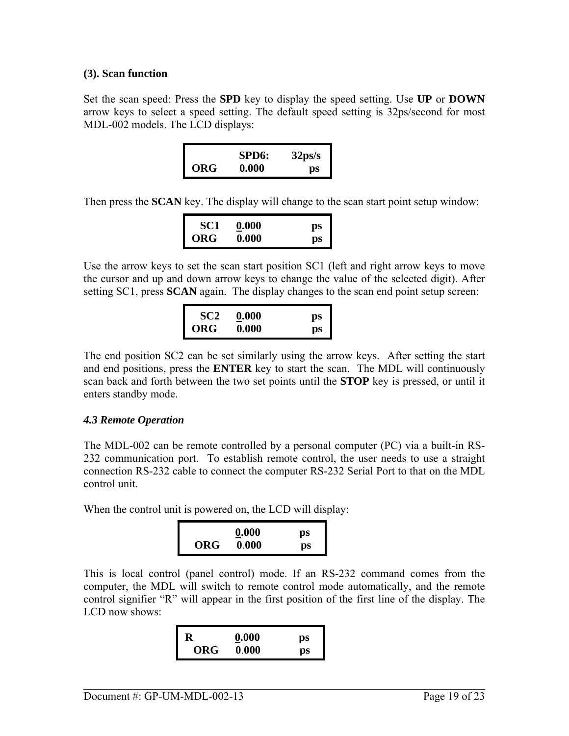#### <span id="page-18-0"></span>**(3). Scan function**

Set the scan speed: Press the **SPD** key to display the speed setting. Use **UP** or **DOWN** arrow keys to select a speed setting. The default speed setting is 32ps/second for most MDL-002 models. The LCD displays:

|     | SPD <sub>6</sub> : | $32\,\mathrm{ps/s}$ |
|-----|--------------------|---------------------|
| ORG | 0.000              | ps                  |

Then press the **SCAN** key. The display will change to the scan start point setup window:

| SC1 | 0.000 | ps |
|-----|-------|----|
| ORG | 0.000 | ps |

Use the arrow keys to set the scan start position SC1 (left and right arrow keys to move the cursor and up and down arrow keys to change the value of the selected digit). After setting SC1, press **SCAN** again. The display changes to the scan end point setup screen:

| SC <sub>2</sub> | 0.000<br>$\sim$ | ps |
|-----------------|-----------------|----|
| ORG             | 0.000           | ps |

The end position SC2 can be set similarly using the arrow keys. After setting the start and end positions, press the **ENTER** key to start the scan. The MDL will continuously scan back and forth between the two set points until the **STOP** key is pressed, or until it enters standby mode.

## *4.3 Remote Operation*

The MDL-002 can be remote controlled by a personal computer (PC) via a built-in RS-232 communication port. To establish remote control, the user needs to use a straight connection RS-232 cable to connect the computer RS-232 Serial Port to that on the MDL control unit.

When the control unit is powered on, the LCD will display:

|            | 0.000 | ps |
|------------|-------|----|
| <b>ORG</b> | 0.000 | ps |

This is local control (panel control) mode. If an RS-232 command comes from the computer, the MDL will switch to remote control mode automatically, and the remote control signifier "R" will appear in the first position of the first line of the display. The LCD now shows:

|     | 0.000<br>__ | ps |
|-----|-------------|----|
| ORG | 0.000       | ps |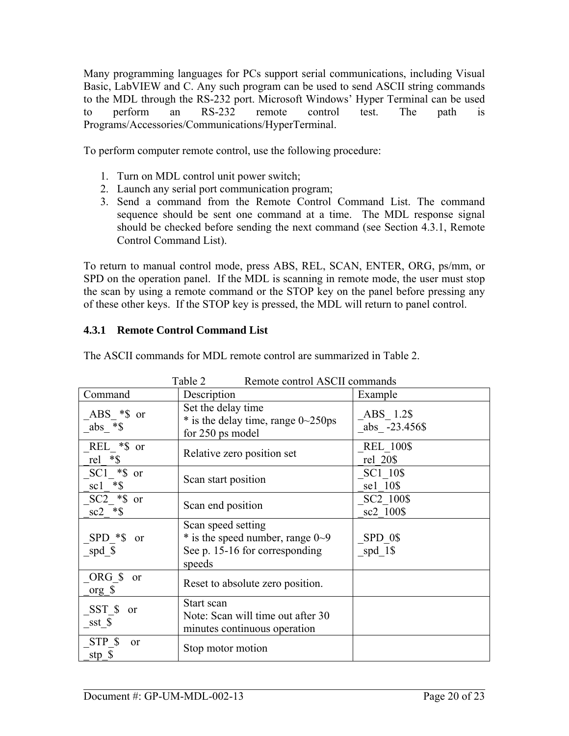Many programming languages for PCs support serial communications, including Visual Basic, LabVIEW and C. Any such program can be used to send ASCII string commands to the MDL through the RS-232 port. Microsoft Windows' Hyper Terminal can be used to perform an RS-232 remote control test. The path is Programs/Accessories/Communications/HyperTerminal.

To perform computer remote control, use the following procedure:

- 1. Turn on MDL control unit power switch;
- 2. Launch any serial port communication program;
- 3. Send a command from the Remote Control Command List. The command sequence should be sent one command at a time. The MDL response signal should be checked before sending the next command (see Section 4.3.1, Remote Control Command List).

To return to manual control mode, press ABS, REL, SCAN, ENTER, ORG, ps/mm, or SPD on the operation panel. If the MDL is scanning in remote mode, the user must stop the scan by using a remote command or the STOP key on the panel before pressing any of these other keys. If the STOP key is pressed, the MDL will return to panel control.

## **4.3.1 Remote Control Command List**

| Table 2<br>Remote control ASCII commands  |                                                                                                      |                                    |  |
|-------------------------------------------|------------------------------------------------------------------------------------------------------|------------------------------------|--|
| Command                                   | Description                                                                                          | Example                            |  |
| $ABS$ *\$ or<br>abs $*$ \$                | Set the delay time<br>$*$ is the delay time, range 0~250ps<br>for 250 ps model                       | ABS 1.2\$<br>abs -23.456\$         |  |
| REL *\$ or<br>rel $*$ \$                  | Relative zero position set                                                                           | <b>REL 100\$</b><br>rel 20\$       |  |
| $SC1$ *\$ or<br>$sc1$ *\$                 | Scan start position                                                                                  | SC1 10\$<br>se1 10\$               |  |
| $SC2$ $*$ \$ or<br>$sc2$ *\$              | Scan end position                                                                                    | SC <sub>2</sub> 100\$<br>sc2 100\$ |  |
| $SPD * $ or$<br>spd $_{\circ}$ \$         | Scan speed setting<br>$*$ is the speed number, range 0~9<br>See p. 15-16 for corresponding<br>speeds | SPD 0\$<br>spd 1\$                 |  |
| ORG \$<br>or<br>org $\sqrt{s}$            | Reset to absolute zero position.                                                                     |                                    |  |
| SST \$<br>or<br>sst \$                    | Start scan<br>Note: Scan will time out after 30<br>minutes continuous operation                      |                                    |  |
| STP \$<br><sub>or</sub><br>stp $\sqrt{s}$ | Stop motor motion                                                                                    |                                    |  |

The ASCII commands for MDL remote control are summarized in Table 2.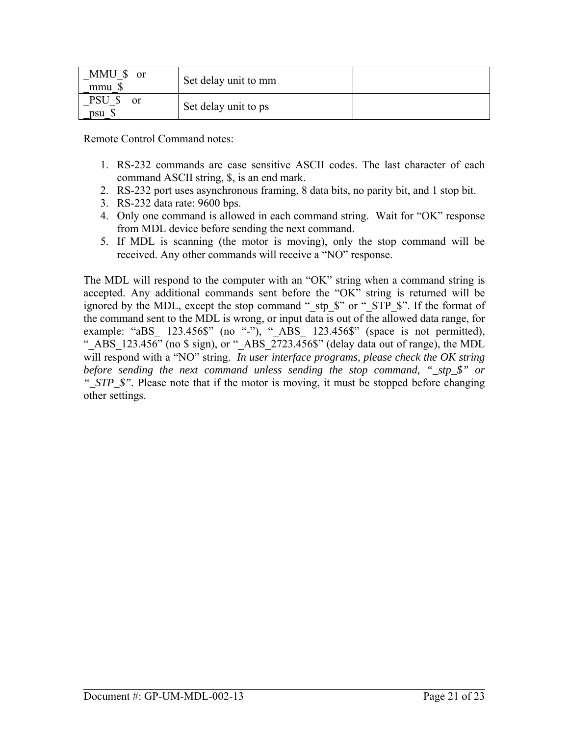| MMU \$<br><sub>or</sub><br>mmu \$ | Set delay unit to mm |  |
|-----------------------------------|----------------------|--|
| PSU<br><sub>or</sub><br>psu \$    | Set delay unit to ps |  |

Remote Control Command notes:

- 1. RS-232 commands are case sensitive ASCII codes. The last character of each command ASCII string, \$, is an end mark.
- 2. RS-232 port uses asynchronous framing, 8 data bits, no parity bit, and 1 stop bit.
- 3. RS-232 data rate: 9600 bps.
- 4. Only one command is allowed in each command string. Wait for "OK" response from MDL device before sending the next command.
- 5. If MDL is scanning (the motor is moving), only the stop command will be received. Any other commands will receive a "NO" response.

The MDL will respond to the computer with an "OK" string when a command string is accepted. Any additional commands sent before the "OK" string is returned will be ignored by the MDL, except the stop command " stp  $\hat{S}$ " or " STP  $\hat{S}$ ". If the format of the command sent to the MDL is wrong, or input data is out of the allowed data range, for example: "aBS\_ 123.456\$" (no "-"), "\_ABS\_ 123.456\$" (space is not permitted), "\_ABS\_123.456" (no  $\frac{1}{2}$  sign), or "\_ABS\_2723.456\$" (delay data out of range), the MDL will respond with a "NO" string. *In user interface programs, please check the OK string before sending the next command unless sending the stop command, "\_stp\_\$" or "\_STP\_\$".* Please note that if the motor is moving, it must be stopped before changing other settings.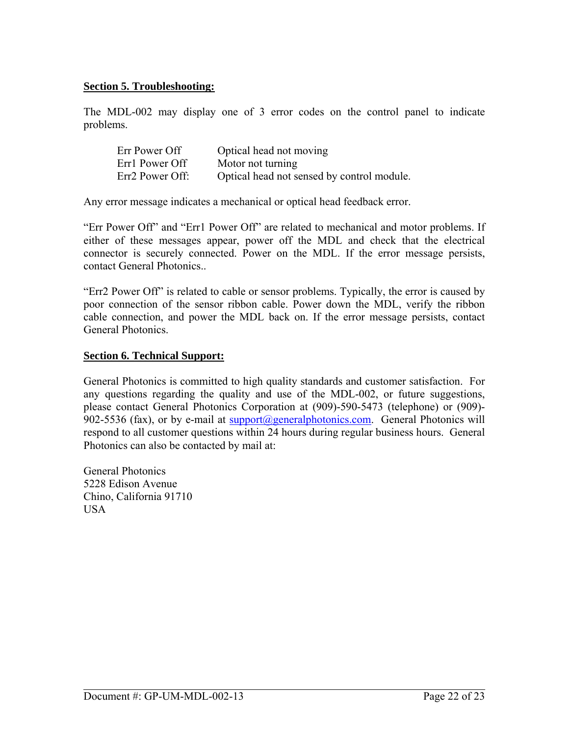#### <span id="page-21-0"></span>**Section 5. Troubleshooting:**

The MDL-002 may display one of 3 error codes on the control panel to indicate problems.

| Err Power Off   | Optical head not moving                    |
|-----------------|--------------------------------------------|
| Err1 Power Off  | Motor not turning                          |
| Err2 Power Off: | Optical head not sensed by control module. |

Any error message indicates a mechanical or optical head feedback error.

"Err Power Off" and "Err1 Power Off" are related to mechanical and motor problems. If either of these messages appear, power off the MDL and check that the electrical connector is securely connected. Power on the MDL. If the error message persists, contact General Photonics..

"Err2 Power Off" is related to cable or sensor problems. Typically, the error is caused by poor connection of the sensor ribbon cable. Power down the MDL, verify the ribbon cable connection, and power the MDL back on. If the error message persists, contact General Photonics.

#### **Section 6. Technical Support:**

General Photonics is committed to high quality standards and customer satisfaction. For any questions regarding the quality and use of the MDL-002, or future suggestions, please contact General Photonics Corporation at (909)-590-5473 (telephone) or (909) 902-5536 (fax), or by e-mail at [support@generalphotonics.com](mailto:support@generalphotonics.com). General Photonics will respond to all customer questions within 24 hours during regular business hours. General Photonics can also be contacted by mail at:

General Photonics 5228 Edison Avenue Chino, California 91710 USA